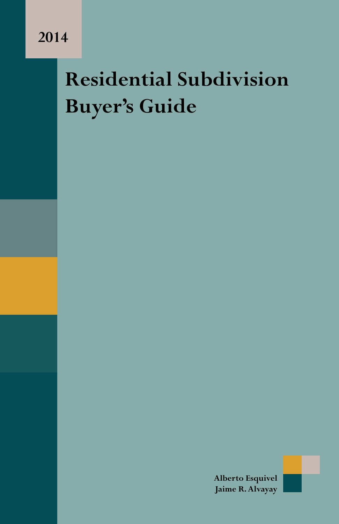## **Residential Subdivision Buyer's Guide**

**Alberto Esquivel Jaime R. Alvayay**

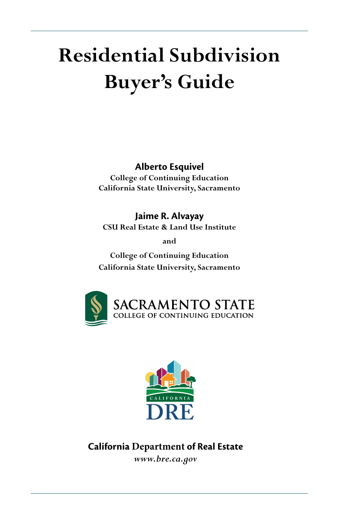# **Residential Subdivision Buyer's Guide**

#### **Alberto Esquivel**

**College of Continuing Education California State University, Sacramento**

**Jaime R. Alvayay CSU Real Estate & Land Use Institute** 

**and**

**College of Continuing Education California State University, Sacramento**





## **California Department of Real Estate**

*www.bre.ca.gov*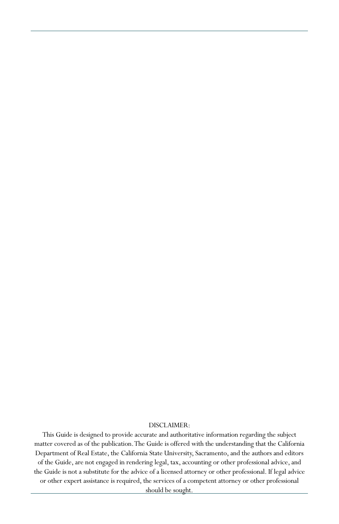#### DISCLAIMER:

This Guide is designed to provide accurate and authoritative information regarding the subject matter covered as of the publication.The Guide is offered with the understanding that the California Department of Real Estate, the California State University, Sacramento,and the authors and editors of the Guide, are not engaged in rendering legal, tax, accounting or other professional advice, and the Guide is not a substitute for the advice of a licensed attorney or other professional. If legal advice or other expert assistance is required, the services of a competent attorney or other professional

should be sought.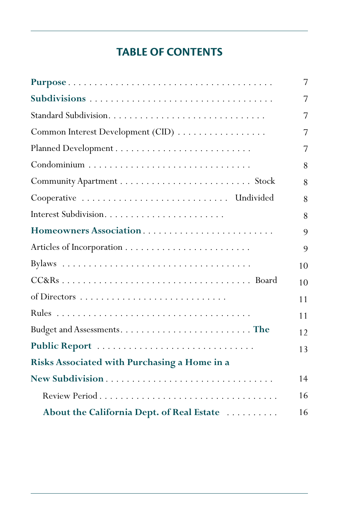## **TABLE OF CONTENTS**

|                                              | 7  |
|----------------------------------------------|----|
|                                              | 7  |
|                                              | 7  |
| Common Interest Development (CID)            | 7  |
|                                              | 7  |
|                                              | 8  |
|                                              | 8  |
| Cooperative  Undivided                       | 8  |
|                                              | 8  |
| Homeowners Association                       | 9  |
|                                              | 9  |
|                                              | 10 |
|                                              | 10 |
|                                              | 11 |
|                                              | 11 |
|                                              | 12 |
| Public Report                                | 13 |
| Risks Associated with Purchasing a Home in a |    |
| New Subdivision                              | 14 |
|                                              | 16 |
| About the California Dept. of Real Estate    | 16 |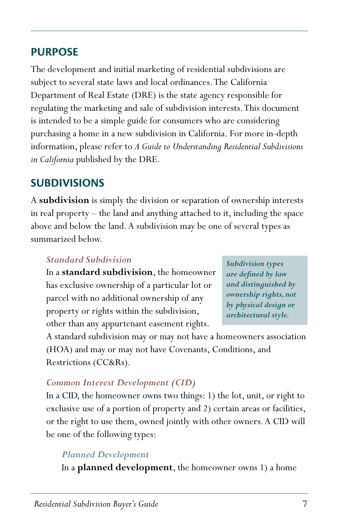### **PURPOSE**

The development and initial marketing of residential subdivisions are subject to several state laws and local ordinances. The California Department of Real Estate (DRE) is the state agency responsible for regulating the marketing and sale of subdivision interests. This document is intended to be a simple guide for consumers who are considering purchasing a home in a new subdivision in California. For more in-depth information, please refer to *A Guide to Understanding Residential Subdivisions in California* published by the DRE.

### **SUBDIVISIONS**

A **subdivision** is simply the division or separation of ownership interests in real property – the land and anything attached to it, including the space above and below the land. A subdivision may be one of several types as summarized below.

#### *Standard Subdivision*

In a **standard subdivision**, the homeowner has exclusive ownership of a particular lot or parcel with no additional ownership of any property or rights within the subdivision, other than any appurtenant easement rights.

*Subdivision types are defined by law and distinguished by ownership rights, not by physical design or architectural style.*

A standard subdivision may or may not have a homeowners association (HOA) and may or may not have Covenants, Conditions, and Restrictions (CC&Rs).

#### *Common Interest Development (CID)*

In a CID, the homeowner owns two things: 1) the lot, unit, or right to exclusive use of a portion of property and 2) certain areas or facilities, or the right to use them, owned jointly with other owners. A CID will be one of the following types:

#### *Planned Development*

In a **planned development**, the homeowner owns 1) a home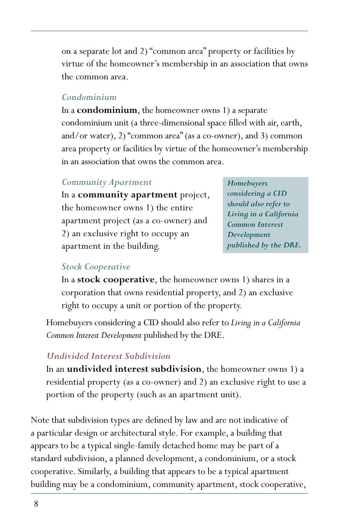on a separate lot and 2) "common area" property or facilities by virtue of the homeowner's membership in an association that owns the common area.

#### *Condominium*

In a **condominium**, the homeowner owns 1) a separate condominium unit (a three-dimensional space filled with air, earth, and/or water), 2) "common area" (as a co-owner), and 3) common area property or facilities by virtue of the homeowner's membership in an association that owns the common area.

#### *Community Apartment*

In a **community apartment** project, the homeowner owns 1) the entire apartment project (as a co-owner) and 2) an exclusive right to occupy an apartment in the building.

*Homebuyers considering a CID should also refer to Living in a California Common Interest Development published by the DRE.*

#### *Stock Cooperative*

In a **stock cooperative**, the homeowner owns 1) shares in a corporation that owns residential property, and 2) an exclusive right to occupy a unit or portion of the property.

Homebuyers considering a CID should also refer to *Living in a California Common Interest Development* published by the DRE.

#### *Undivided Interest Subdivision*

In an **undivided interest subdivision**, the homeowner owns 1) a residential property (as a co-owner) and 2) an exclusive right to use a portion of the property (such as an apartment unit).

Note that subdivision types are defined by law and are not indicative of a particular design or architectural style. For example, a building that appears to be a typical single-family detached home may be part of a standard subdivision, a planned development, a condominium, or a stock cooperative. Similarly, a building that appears to be a typical apartment building may be a condominium, community apartment, stock cooperative,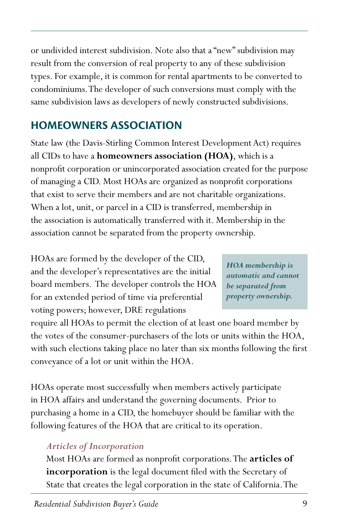or undivided interest subdivision. Note also that a "new" subdivision may result from the conversion of real property to any of these subdivision types. For example, it is common for rental apartments to be converted to condominiums. The developer of such conversions must comply with the same subdivision laws as developers of newly constructed subdivisions.

## **HOMEOWNERS ASSOCIATION**

State law (the Davis-Stirling Common Interest Development Act) requires all CIDs to have a **homeowners association (HOA)**, which is a nonprofit corporation or unincorporated association created for the purpose of managing a CID. Most HOAs are organized as nonprofit corporations that exist to serve their members and are not charitable organizations. When a lot, unit, or parcel in a CID is transferred, membership in the association is automatically transferred with it. Membership in the association cannot be separated from the property ownership.

HOAs are formed by the developer of the CID, and the developer's representatives are the initial board members. The developer controls the HOA for an extended period of time via preferential voting powers; however, DRE regulations

*HOA membership is automatic and cannot be separated from property ownership.*

require all HOAs to permit the election of at least one board member by the votes of the consumer-purchasers of the lots or units within the HOA, with such elections taking place no later than six months following the first conveyance of a lot or unit within the HOA.

HOAs operate most successfully when members actively participate in HOA affairs and understand the governing documents. Prior to purchasing a home in a CID, the homebuyer should be familiar with the following features of the HOA that are critical to its operation.

#### *Articles of Incorporation*

Most HOAs are formed as nonprofit corporations. The **articles of incorporation** is the legal document filed with the Secretary of State that creates the legal corporation in the state of California. The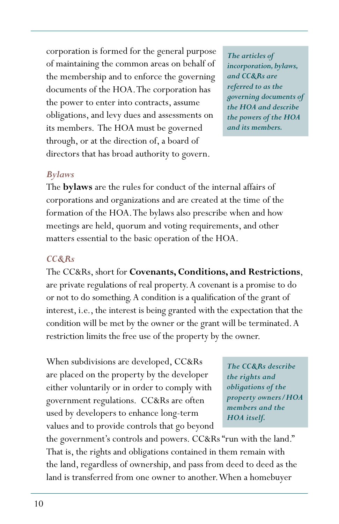corporation is formed for the general purpose of maintaining the common areas on behalf of the membership and to enforce the governing documents of the HOA. The corporation has the power to enter into contracts, assume obligations, and levy dues and assessments on its members. The HOA must be governed through, or at the direction of, a board of directors that has broad authority to govern.

*The articles of incorporation, bylaws, and CC&Rs are referred to as the governing documents of the HOA and describe the powers of the HOA and its members.*

#### *Bylaws*

The **bylaws** are the rules for conduct of the internal affairs of corporations and organizations and are created at the time of the formation of the HOA. The bylaws also prescribe when and how meetings are held, quorum and voting requirements, and other matters essential to the basic operation of the HOA.

#### *CC&Rs*

The CC&Rs, short for **Covenants, Conditions, and Restrictions**, are private regulations of real property. A covenant is a promise to do or not to do something. A condition is a qualification of the grant of interest, i.e., the interest is being granted with the expectation that the condition will be met by the owner or the grant will be terminated. A restriction limits the free use of the property by the owner.

When subdivisions are developed, CC&Rs are placed on the property by the developer either voluntarily or in order to comply with government regulations. CC&Rs are often used by developers to enhance long-term values and to provide controls that go beyond

*The CC&Rs describe the rights and obligations of the property owners/HOA members and the HOA itself.*

the government's controls and powers. CC&Rs "run with the land." That is, the rights and obligations contained in them remain with the land, regardless of ownership, and pass from deed to deed as the land is transferred from one owner to another. When a homebuyer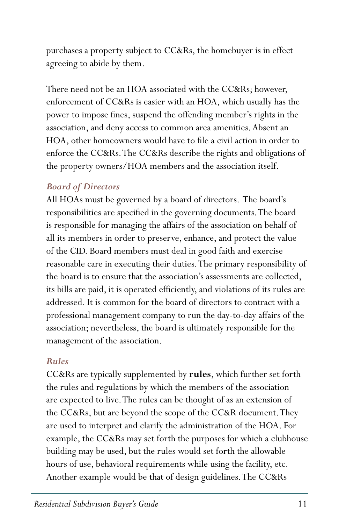purchases a property subject to CC&Rs, the homebuyer is in effect agreeing to abide by them.

There need not be an HOA associated with the CC&Rs; however, enforcement of CC&Rs is easier with an HOA, which usually has the power to impose fines, suspend the offending member's rights in the association, and deny access to common area amenities. Absent an HOA, other homeowners would have to file a civil action in order to enforce the CC&Rs. The CC&Rs describe the rights and obligations of the property owners/HOA members and the association itself.

#### *Board of Directors*

All HOAs must be governed by a board of directors. The board's responsibilities are specified in the governing documents. The board is responsible for managing the affairs of the association on behalf of all its members in order to preserve, enhance, and protect the value of the CID. Board members must deal in good faith and exercise reasonable care in executing their duties. The primary responsibility of the board is to ensure that the association's assessments are collected, its bills are paid, it is operated efficiently, and violations of its rules are addressed. It is common for the board of directors to contract with a professional management company to run the day-to-day affairs of the association; nevertheless, the board is ultimately responsible for the management of the association.

#### *Rules*

CC&Rs are typically supplemented by **rules**, which further set forth the rules and regulations by which the members of the association are expected to live. The rules can be thought of as an extension of the CC&Rs, but are beyond the scope of the CC&R document. They are used to interpret and clarify the administration of the HOA. For example, the CC&Rs may set forth the purposes for which a clubhouse building may be used, but the rules would set forth the allowable hours of use, behavioral requirements while using the facility, etc. Another example would be that of design guidelines. The CC&Rs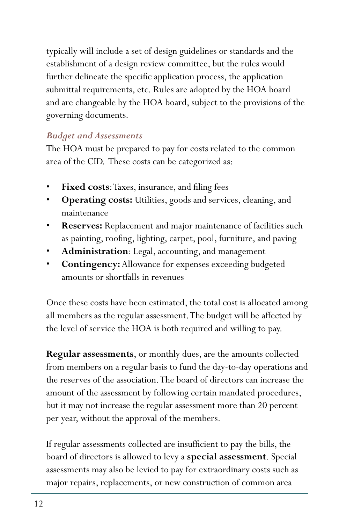typically will include a set of design guidelines or standards and the establishment of a design review committee, but the rules would further delineate the specific application process, the application submittal requirements, etc. Rules are adopted by the HOA board and are changeable by the HOA board, subject to the provisions of the governing documents.

#### *Budget and Assessments*

The HOA must be prepared to pay for costs related to the common area of the CID. These costs can be categorized as:

- **Fixed costs:** Taxes, insurance, and filing fees
- **Operating costs:** Utilities, goods and services, cleaning, and maintenance
- **Reserves:** Replacement and major maintenance of facilities such as painting, roofing, lighting, carpet, pool, furniture, and paving
- Administration: Legal, accounting, and management
- • **Contingency:** Allowance for expenses exceeding budgeted amounts or shortfalls in revenues

Once these costs have been estimated, the total cost is allocated among all members as the regular assessment. The budget will be affected by the level of service the HOA is both required and willing to pay.

**Regular assessments**, or monthly dues, are the amounts collected from members on a regular basis to fund the day-to-day operations and the reserves of the association. The board of directors can increase the amount of the assessment by following certain mandated procedures, but it may not increase the regular assessment more than 20 percent per year, without the approval of the members.

If regular assessments collected are insufficient to pay the bills, the board of directors is allowed to levy a **special assessment**. Special assessments may also be levied to pay for extraordinary costs such as major repairs, replacements, or new construction of common area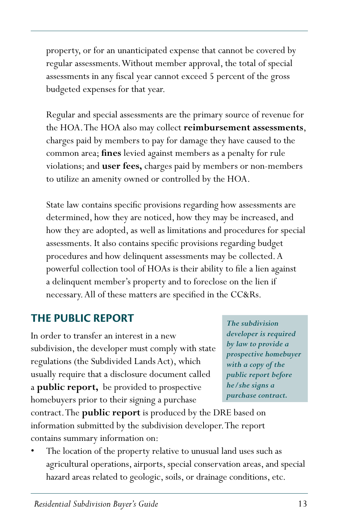property, or for an unanticipated expense that cannot be covered by regular assessments. Without member approval, the total of special assessments in any fiscal year cannot exceed 5 percent of the gross budgeted expenses for that year.

Regular and special assessments are the primary source of revenue for the HOA. The HOA also may collect **reimbursement assessments**, charges paid by members to pay for damage they have caused to the common area; **fines** levied against members as a penalty for rule violations; and **user fees,** charges paid by members or non-members to utilize an amenity owned or controlled by the HOA.

State law contains specific provisions regarding how assessments are determined, how they are noticed, how they may be increased, and how they are adopted, as well as limitations and procedures for special assessments. It also contains specific provisions regarding budget procedures and how delinquent assessments may be collected. A powerful collection tool of HOAs is their ability to file a lien against a delinquent member's property and to foreclose on the lien if necessary. All of these matters are specified in the CC&Rs.

## **THE PUBLIC REPORT**

In order to transfer an interest in a new subdivision, the developer must comply with state regulations (the Subdivided Lands Act), which usually require that a disclosure document called a **public report,** be provided to prospective homebuyers prior to their signing a purchase

contract. The **public report** is produced by the DRE based on information submitted by the subdivision developer. The report contains summary information on:

The location of the property relative to unusual land uses such as agricultural operations, airports, special conservation areas, and special hazard areas related to geologic, soils, or drainage conditions, etc.

*The subdivision developer is required by law to provide a prospective homebuyer with a copy of the public report before he/she signs a purchase contract.*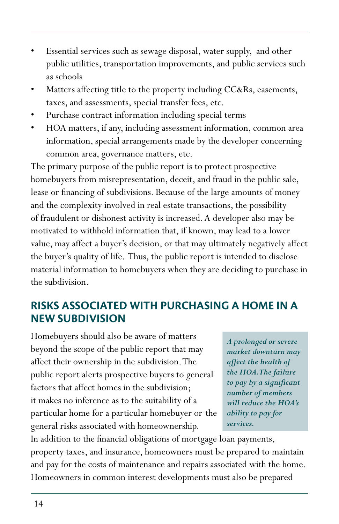- Essential services such as sewage disposal, water supply, and other public utilities, transportation improvements, and public services such as schools
- Matters affecting title to the property including CC&Rs, easements, taxes, and assessments, special transfer fees, etc.
- Purchase contract information including special terms
- HOA matters, if any, including assessment information, common area information, special arrangements made by the developer concerning common area, governance matters, etc.

The primary purpose of the public report is to protect prospective homebuyers from misrepresentation, deceit, and fraud in the public sale, lease or financing of subdivisions. Because of the large amounts of money and the complexity involved in real estate transactions, the possibility of fraudulent or dishonest activity is increased. A developer also may be motivated to withhold information that, if known, may lead to a lower value, may affect a buyer's decision, or that may ultimately negatively affect the buyer's quality of life. Thus, the public report is intended to disclose material information to homebuyers when they are deciding to purchase in the subdivision.

## **RISKS ASSOCIATED WITH PURCHASING A HOME IN A NEW SUBDIVISION**

Homebuyers should also be aware of matters beyond the scope of the public report that may affect their ownership in the subdivision. The public report alerts prospective buyers to general factors that affect homes in the subdivision; it makes no inference as to the suitability of a particular home for a particular homebuyer or the general risks associated with homeownership.

*A prolonged or severe market downturn may affect the health of the HOA. The failure to pay by a significant number of members will reduce the HOA's ability to pay for services.*

In addition to the financial obligations of mortgage loan payments, property taxes, and insurance, homeowners must be prepared to maintain and pay for the costs of maintenance and repairs associated with the home. Homeowners in common interest developments must also be prepared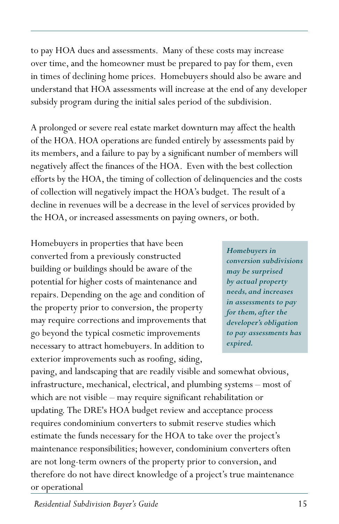to pay HOA dues and assessments. Many of these costs may increase over time, and the homeowner must be prepared to pay for them, even in times of declining home prices. Homebuyers should also be aware and understand that HOA assessments will increase at the end of any developer subsidy program during the initial sales period of the subdivision.

A prolonged or severe real estate market downturn may affect the health of the HOA. HOA operations are funded entirely by assessments paid by its members, and a failure to pay by a significant number of members will negatively affect the finances of the HOA. Even with the best collection efforts by the HOA, the timing of collection of delinquencies and the costs of collection will negatively impact the HOA's budget. The result of a decline in revenues will be a decrease in the level of services provided by the HOA, or increased assessments on paying owners, or both.

Homebuyers in properties that have been converted from a previously constructed building or buildings should be aware of the potential for higher costs of maintenance and repairs. Depending on the age and condition of the property prior to conversion, the property may require corrections and improvements that go beyond the typical cosmetic improvements necessary to attract homebuyers. In addition to exterior improvements such as roofing, siding,

*Homebuyers in conversion subdivisions may be surprised by actual property needs, and increases in assessments to pay for them, after the developer's obligation to pay assessments has expired.*

paving, and landscaping that are readily visible and somewhat obvious, infrastructure, mechanical, electrical, and plumbing systems – most of which are not visible – may require significant rehabilitation or updating. The DRE's HOA budget review and acceptance process requires condominium converters to submit reserve studies which estimate the funds necessary for the HOA to take over the project's maintenance responsibilities; however, condominium converters often are not long-term owners of the property prior to conversion, and therefore do not have direct knowledge of a project's true maintenance or operational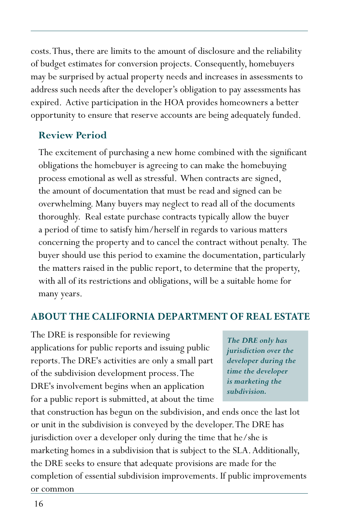costs. Thus, there are limits to the amount of disclosure and the reliability of budget estimates for conversion projects. Consequently, homebuyers may be surprised by actual property needs and increases in assessments to address such needs after the developer's obligation to pay assessments has expired. Active participation in the HOA provides homeowners a better opportunity to ensure that reserve accounts are being adequately funded.

#### **Review Period**

The excitement of purchasing a new home combined with the significant obligations the homebuyer is agreeing to can make the homebuying process emotional as well as stressful. When contracts are signed, the amount of documentation that must be read and signed can be overwhelming. Many buyers may neglect to read all of the documents thoroughly. Real estate purchase contracts typically allow the buyer a period of time to satisfy him/herself in regards to various matters concerning the property and to cancel the contract without penalty. The buyer should use this period to examine the documentation, particularly the matters raised in the public report, to determine that the property, with all of its restrictions and obligations, will be a suitable home for many years.

#### **ABOUT THE CALIFORNIA DEPARTMENT OF REAL ESTATE**

The DRE is responsible for reviewing applications for public reports and issuing public reports. The DRE's activities are only a small part of the subdivision development process. The DRE's involvement begins when an application for a public report is submitted, at about the time

*The DRE only has jurisdiction over the developer during the time the developer is marketing the subdivision.*

that construction has begun on the subdivision, and ends once the last lot or unit in the subdivision is conveyed by the developer. The DRE has jurisdiction over a developer only during the time that he/she is marketing homes in a subdivision that is subject to the SLA. Additionally, the DRE seeks to ensure that adequate provisions are made for the completion of essential subdivision improvements. If public improvements or common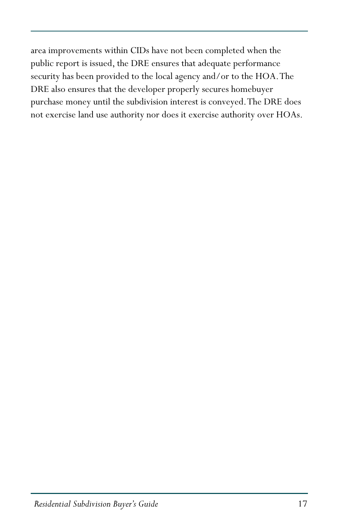area improvements within CIDs have not been completed when the public report is issued, the DRE ensures that adequate performance security has been provided to the local agency and/or to the HOA. The DRE also ensures that the developer properly secures homebuyer purchase money until the subdivision interest is conveyed. The DRE does not exercise land use authority nor does it exercise authority over HOAs.